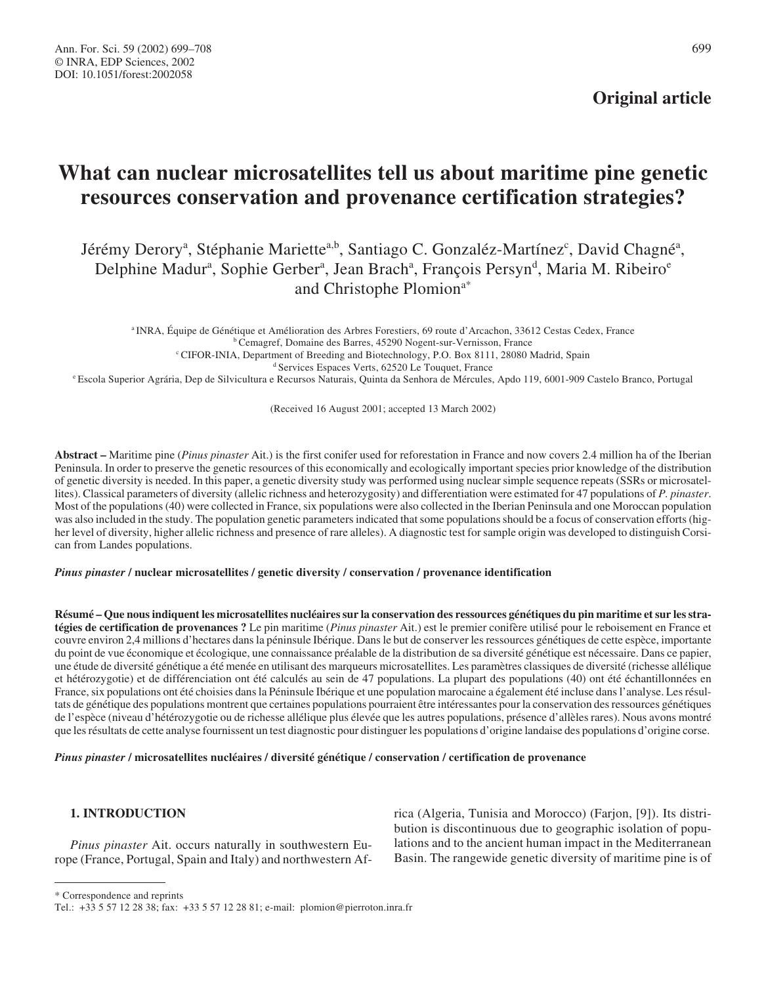# **Original article**

# **What can nuclear microsatellites tell us about maritime pine genetic resources conservation and provenance certification strategies?**

# Jérémy Derory<sup>a</sup>, Stéphanie Mariette<sup>a,b</sup>, Santiago C. Gonzaléz-Martínez<sup>c</sup>, David Chagné<sup>a</sup>, Delphine Madur<sup>a</sup>, Sophie Gerber<sup>a</sup>, Jean Brach<sup>a</sup>, François Persyn<sup>d</sup>, Maria M. Ribeiro<sup>e</sup> and Christophe Plomion<sup>a\*</sup>

<sup>a</sup> INRA, Équipe de Génétique et Amélioration des Arbres Forestiers, 69 route d'Arcachon, 33612 Cestas Cedex, France <sup>b</sup> Cemagref, Domaine des Barres, 45290 Nogent-sur-Vernisson, France <sup>c</sup> CIFOR-INIA, Department of Breeding and Biotechnology, P.O. Box 8111, 28080 Madrid, Spain <sup>d</sup> Services Espaces Verts, 62520 Le Touquet, France <sup>e</sup> Escola Superior Agrária, Dep de Silvicultura e Recursos Naturais, Quinta da Senhora de Mércules, Apdo 119, 6001-909 Castelo Branco, Portugal

(Received 16 August 2001; accepted 13 March 2002)

**Abstract –** Maritime pine (*Pinus pinaster* Ait.) is the first conifer used for reforestation in France and now covers 2.4 million ha of the Iberian Peninsula. In order to preserve the genetic resources of this economically and ecologically important species prior knowledge of the distribution of genetic diversity is needed. In this paper, a genetic diversity study was performed using nuclear simple sequence repeats (SSRs or microsatellites). Classical parameters of diversity (allelic richness and heterozygosity) and differentiation were estimated for 47 populations of *P. pinaster*. Most of the populations (40) were collected in France, six populations were also collected in the Iberian Peninsula and one Moroccan population was also included in the study. The population genetic parameters indicated that some populations should be a focus of conservation efforts (higher level of diversity, higher allelic richness and presence of rare alleles). A diagnostic test for sample origin was developed to distinguish Corsican from Landes populations.

# *Pinus pinaster* **/ nuclear microsatellites / genetic diversity / conservation / provenance identification**

**Résumé – Que nous indiquent les microsatellites nucléaires sur la conservation des ressources génétiques du pin maritime et sur les stratégies de certification de provenances ?** Le pin maritime (*Pinus pinaster* Ait.) est le premier conifère utilisé pour le reboisement en France et couvre environ 2,4 millions d'hectares dans la péninsule Ibérique. Dans le but de conserver les ressources génétiques de cette espèce, importante du point de vue économique et écologique, une connaissance préalable de la distribution de sa diversité génétique est nécessaire. Dans ce papier, une étude de diversité génétique a été menée en utilisant des marqueurs microsatellites. Les paramètres classiques de diversité (richesse allélique et hétérozygotie) et de différenciation ont été calculés au sein de 47 populations. La plupart des populations (40) ont été échantillonnées en France, six populations ont été choisies dans la Péninsule Ibérique et une population marocaine a également été incluse dans l'analyse. Les résultats de génétique des populations montrent que certaines populations pourraient être intéressantes pour la conservation des ressources génétiques de l'espèce (niveau d'hétérozygotie ou de richesse allélique plus élevée que les autres populations, présence d'allèles rares). Nous avons montré que les résultats de cette analyse fournissent un test diagnostic pour distinguer les populations d'origine landaise des populations d'origine corse.

#### *Pinus pinaster* **/ microsatellites nucléaires / diversité génétique / conservation / certification de provenance**

# **1. INTRODUCTION**

*Pinus pinaster* Ait. occurs naturally in southwestern Europe (France, Portugal, Spain and Italy) and northwestern Africa (Algeria, Tunisia and Morocco) (Farjon, [9]). Its distribution is discontinuous due to geographic isolation of populations and to the ancient human impact in the Mediterranean Basin. The rangewide genetic diversity of maritime pine is of

<sup>\*</sup> Correspondence and reprints

Tel.: +33 5 57 12 28 38; fax: +33 5 57 12 28 81; e-mail: plomion@pierroton.inra.fr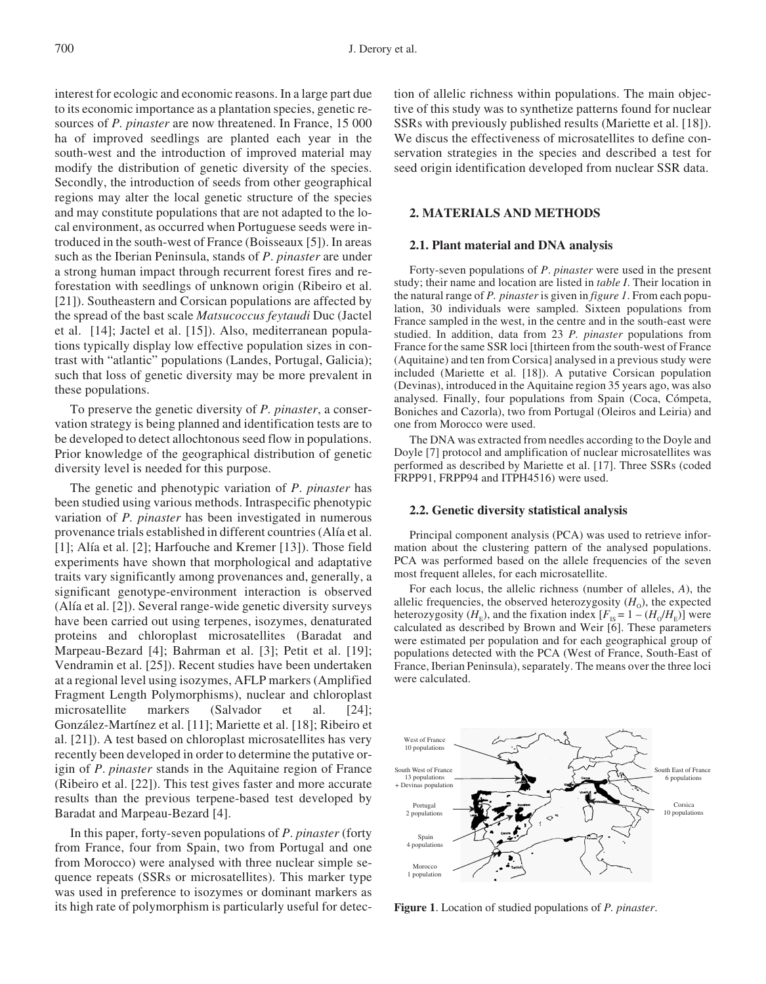interest for ecologic and economic reasons. In a large part due to its economic importance as a plantation species, genetic resources of *P. pinaster* are now threatened. In France, 15 000 ha of improved seedlings are planted each year in the south-west and the introduction of improved material may modify the distribution of genetic diversity of the species. Secondly, the introduction of seeds from other geographical regions may alter the local genetic structure of the species and may constitute populations that are not adapted to the local environment, as occurred when Portuguese seeds were introduced in the south-west of France (Boisseaux [5]). In areas such as the Iberian Peninsula, stands of *P*. *pinaster* are under a strong human impact through recurrent forest fires and reforestation with seedlings of unknown origin (Ribeiro et al. [21]). Southeastern and Corsican populations are affected by the spread of the bast scale *Matsucoccus feytaudi* Duc (Jactel et al. [14]; Jactel et al. [15]). Also, mediterranean populations typically display low effective population sizes in contrast with "atlantic" populations (Landes, Portugal, Galicia); such that loss of genetic diversity may be more prevalent in these populations.

To preserve the genetic diversity of *P. pinaster*, a conservation strategy is being planned and identification tests are to be developed to detect allochtonous seed flow in populations. Prior knowledge of the geographical distribution of genetic diversity level is needed for this purpose.

The genetic and phenotypic variation of *P*. *pinaster* has been studied using various methods. Intraspecific phenotypic variation of *P. pinaster* has been investigated in numerous provenance trials established in different countries (Alía et al. [1]; Alía et al. [2]; Harfouche and Kremer [13]). Those field experiments have shown that morphological and adaptative traits vary significantly among provenances and, generally, a significant genotype-environment interaction is observed (Alía et al. [2]). Several range-wide genetic diversity surveys have been carried out using terpenes, isozymes, denaturated proteins and chloroplast microsatellites (Baradat and Marpeau-Bezard [4]; Bahrman et al. [3]; Petit et al. [19]; Vendramin et al. [25]). Recent studies have been undertaken at a regional level using isozymes, AFLP markers (Amplified Fragment Length Polymorphisms), nuclear and chloroplast microsatellite markers (Salvador et al. [24]; González-Martínez et al. [11]; Mariette et al. [18]; Ribeiro et al. [21]). A test based on chloroplast microsatellites has very recently been developed in order to determine the putative origin of *P*. *pinaster* stands in the Aquitaine region of France (Ribeiro et al. [22]). This test gives faster and more accurate results than the previous terpene-based test developed by Baradat and Marpeau-Bezard [4].

In this paper, forty-seven populations of *P*. *pinaster* (forty from France, four from Spain, two from Portugal and one from Morocco) were analysed with three nuclear simple sequence repeats (SSRs or microsatellites). This marker type was used in preference to isozymes or dominant markers as its high rate of polymorphism is particularly useful for detection of allelic richness within populations. The main objective of this study was to synthetize patterns found for nuclear SSRs with previously published results (Mariette et al. [18]). We discus the effectiveness of microsatellites to define conservation strategies in the species and described a test for seed origin identification developed from nuclear SSR data.

## **2. MATERIALS AND METHODS**

#### **2.1. Plant material and DNA analysis**

Forty-seven populations of *P*. *pinaster* were used in the present study; their name and location are listed in *table I*. Their location in the natural range of *P. pinaster* is given in *figure 1*. From each population, 30 individuals were sampled. Sixteen populations from France sampled in the west, in the centre and in the south-east were studied. In addition, data from 23 *P. pinaster* populations from France for the same SSR loci [thirteen from the south-west of France (Aquitaine) and ten from Corsica] analysed in a previous study were included (Mariette et al. [18]). A putative Corsican population (Devinas), introduced in the Aquitaine region 35 years ago, was also analysed. Finally, four populations from Spain (Coca, Cómpeta, Boniches and Cazorla), two from Portugal (Oleiros and Leiria) and one from Morocco were used.

The DNA was extracted from needles according to the Doyle and Doyle [7] protocol and amplification of nuclear microsatellites was performed as described by Mariette et al. [17]. Three SSRs (coded FRPP91, FRPP94 and ITPH4516) were used.

#### **2.2. Genetic diversity statistical analysis**

Principal component analysis (PCA) was used to retrieve information about the clustering pattern of the analysed populations. PCA was performed based on the allele frequencies of the seven most frequent alleles, for each microsatellite.

For each locus, the allelic richness (number of alleles, *A*), the allelic frequencies, the observed heterozygosity  $(H_0)$ , the expected heterozygosity ( $H_E$ ), and the fixation index  $[F_{IS} = 1 - (H_0/H_E)]$  were calculated as described by Brown and Weir [6]. These parameters were estimated per population and for each geographical group of populations detected with the PCA (West of France, South-East of France, Iberian Peninsula), separately. The means over the three loci were calculated.



**Figure 1**. Location of studied populations of *P. pinaster*.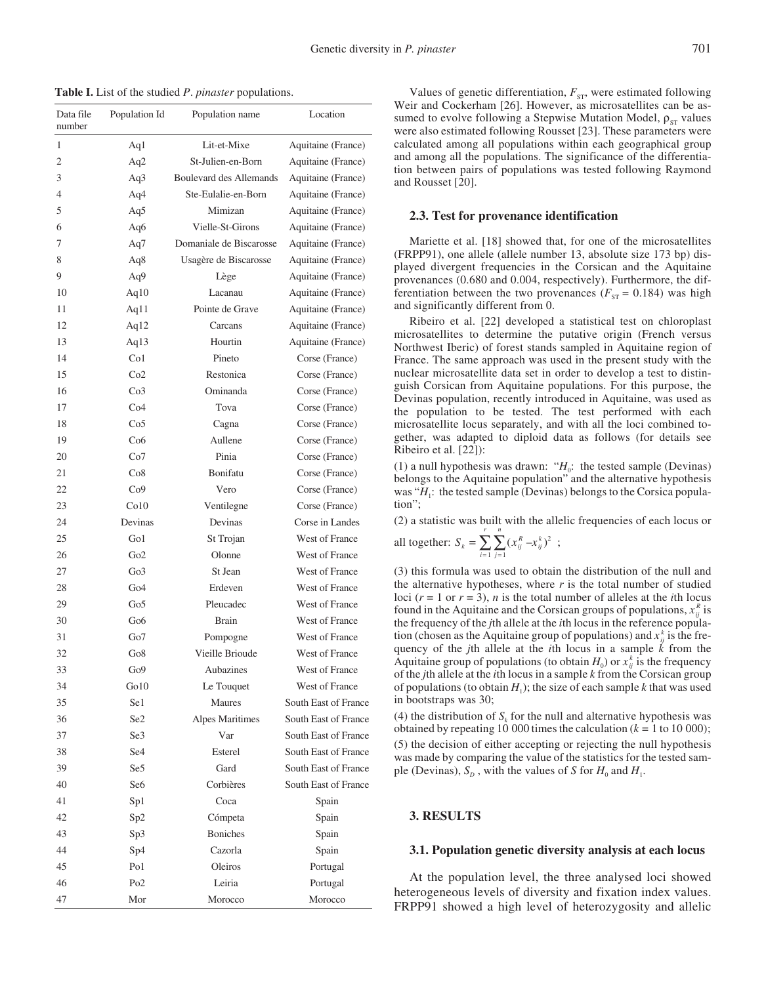**Table I.** List of the studied *P*. *pinaster* populations.

| Data file<br>number | Population Id   | Population name         | Location             |
|---------------------|-----------------|-------------------------|----------------------|
| 1                   | Aq1             | Lit-et-Mixe             | Aquitaine (France)   |
| $\overline{c}$      | Aq2             | St-Julien-en-Born       | Aquitaine (France)   |
| 3                   | Aq3             | Boulevard des Allemands | Aquitaine (France)   |
| 4                   | Aq4             | Ste-Eulalie-en-Born     | Aquitaine (France)   |
| 5                   | Aq5             | Mimizan                 | Aquitaine (France)   |
| 6                   | Aq6             | Vielle-St-Girons        | Aquitaine (France)   |
| 7                   | Aq7             | Domaniale de Biscarosse | Aquitaine (France)   |
| 8                   | Aq8             | Usagère de Biscarosse   | Aquitaine (France)   |
| 9                   | Aq9             | Lège                    | Aquitaine (France)   |
| 10                  | Aq $10$         | Lacanau                 | Aquitaine (France)   |
| 11                  | Aq $11$         | Pointe de Grave         | Aquitaine (France)   |
| 12                  | Aq12            | Carcans                 | Aquitaine (France)   |
| 13                  | Aq13            | Hourtin                 | Aquitaine (France)   |
| 14                  | Co1             | Pineto                  | Corse (France)       |
| 15                  | Co2             | Restonica               | Corse (France)       |
| 16                  | Co <sub>3</sub> | Ominanda                | Corse (France)       |
| 17                  | Co4             | Tova                    | Corse (France)       |
| 18                  | Co <sub>5</sub> | Cagna                   | Corse (France)       |
| 19                  | Co6             | Aullene                 | Corse (France)       |
| 20                  | Co7             | Pinia                   | Corse (France)       |
| 21                  | Co8             | Bonifatu                | Corse (France)       |
| 22                  | Co9             | Vero                    | Corse (France)       |
| 23                  | Co10            | Ventilegne              | Corse (France)       |
| 24                  | Devinas         | Devinas                 | Corse in Landes      |
| 25                  | Go1             | St Trojan               | West of France       |
| 26                  | Go2             | Olonne                  | West of France       |
| 27                  | Go3             | St Jean                 | West of France       |
| 28                  | Go4             | Erdeven                 | West of France       |
| 29                  | Go <sub>5</sub> | Pleucadec               | West of France       |
| 30                  | Go6             | <b>Brain</b>            | West of France       |
| 31                  | Go7             | Pompogne                | West of France       |
| 32                  | Go8             | Vieille Brioude         | West of France       |
| 33                  | Go9             | Aubazines               | West of France       |
| 34                  | Go10            | Le Touquet              | West of France       |
| 35                  | Se1             | Maures                  | South East of France |
| 36                  | Se2             | Alpes Maritimes         | South East of France |
| 37                  | Se3             | Var                     | South East of France |
| 38                  | Se <sub>4</sub> | Esterel                 | South East of France |
| 39                  | Se5             | Gard                    | South East of France |
| 40                  | Se <sub>6</sub> | Corbières               | South East of France |
| 41                  | Sp1             | Coca                    | Spain                |
| 42                  | Sp2             | Cómpeta                 | Spain                |
| 43                  | Sp3             | <b>Boniches</b>         | Spain                |
| 44                  | Sp4             | Cazorla                 | Spain                |
| 45                  | Po1             | Oleiros                 | Portugal             |
| 46                  | Po <sub>2</sub> | Leiria                  | Portugal             |
| 47                  | Mor             | Morocco                 | Morocco              |

Values of genetic differentiation,  $F_{ST}$ , were estimated following Weir and Cockerham [26]. However, as microsatellites can be assumed to evolve following a Stepwise Mutation Model,  $\rho_{ST}$  values were also estimated following Rousset [23]. These parameters were calculated among all populations within each geographical group and among all the populations. The significance of the differentiation between pairs of populations was tested following Raymond and Rousset [20].

#### **2.3. Test for provenance identification**

Mariette et al. [18] showed that, for one of the microsatellites (FRPP91), one allele (allele number 13, absolute size 173 bp) displayed divergent frequencies in the Corsican and the Aquitaine provenances (0.680 and 0.004, respectively). Furthermore, the differentiation between the two provenances ( $F_{ST}$  = 0.184) was high and significantly different from 0.

Ribeiro et al. [22] developed a statistical test on chloroplast microsatellites to determine the putative origin (French versus Northwest Iberic) of forest stands sampled in Aquitaine region of France. The same approach was used in the present study with the nuclear microsatellite data set in order to develop a test to distinguish Corsican from Aquitaine populations. For this purpose, the Devinas population, recently introduced in Aquitaine, was used as the population to be tested. The test performed with each microsatellite locus separately, and with all the loci combined together, was adapted to diploid data as follows (for details see Ribeiro et al. [22]):

(1) a null hypothesis was drawn: " $H_0$ : the tested sample (Devinas) belongs to the Aquitaine population" and the alternative hypothesis was "*H*<sub>1</sub>: the tested sample (Devinas) belongs to the Corsica population";

(2) a statistic was built with the allelic frequencies of each locus or

all together: 
$$
S_k = \sum_{i=1}^r \sum_{j=1}^n (x_{ij}^k - x_{ij}^k)^2
$$
;

(3) this formula was used to obtain the distribution of the null and the alternative hypotheses, where  $r$  is the total number of studied loci  $(r = 1 \text{ or } r = 3)$ , *n* is the total number of alleles at the *i*th locus found in the Aquitaine and the Corsican groups of populations,  $x_{ij}^R$  is the frequency of the *j*th allele at the *i*th locus in the reference population (chosen as the Aquitaine group of populations) and  $x_{ij}^k$  is the frequency of the *j*th allele at the *i*th locus in a sample *k* from the Aquitaine group of populations (to obtain  $H_0$ ) or  $x_{ij}^k$  is the frequency of the *j*th allele at the *i*th locus in a sample *k* from the Corsican group of populations (to obtain  $H_1$ ); the size of each sample *k* that was used in bootstraps was 30;

(4) the distribution of  $S_k$  for the null and alternative hypothesis was obtained by repeating 10 000 times the calculation  $(k = 1$  to 10 000); (5) the decision of either accepting or rejecting the null hypothesis was made by comparing the value of the statistics for the tested sample (Devinas),  $S_p$ , with the values of *S* for  $H_0$  and  $H_1$ .

#### **3. RESULTS**

#### **3.1. Population genetic diversity analysis at each locus**

At the population level, the three analysed loci showed heterogeneous levels of diversity and fixation index values. FRPP91 showed a high level of heterozygosity and allelic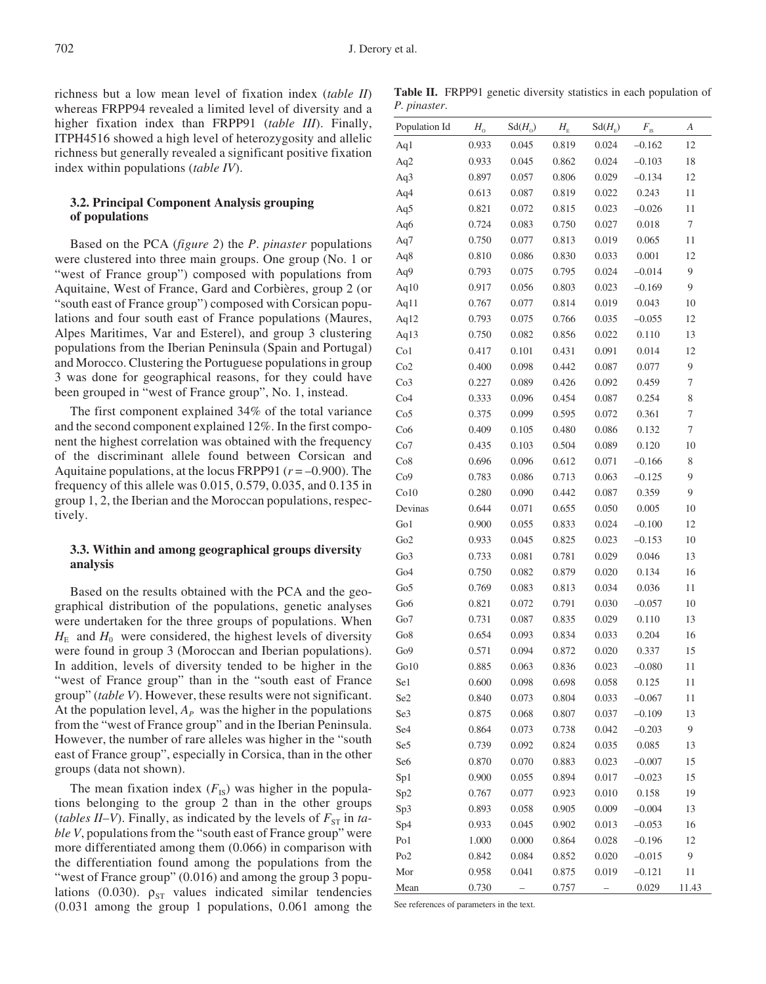richness but a low mean level of fixation index (*table II*) whereas FRPP94 revealed a limited level of diversity and a higher fixation index than FRPP91 (*table III*). Finally, ITPH4516 showed a high level of heterozygosity and allelic richness but generally revealed a significant positive fixation index within populations (*table IV*).

# **3.2. Principal Component Analysis grouping of populations**

Based on the PCA (*figure 2*) the *P*. *pinaster* populations were clustered into three main groups. One group (No. 1 or "west of France group") composed with populations from Aquitaine, West of France, Gard and Corbières, group 2 (or "south east of France group") composed with Corsican populations and four south east of France populations (Maures, Alpes Maritimes, Var and Esterel), and group 3 clustering populations from the Iberian Peninsula (Spain and Portugal) and Morocco. Clustering the Portuguese populations in group 3 was done for geographical reasons, for they could have been grouped in "west of France group", No. 1, instead.

The first component explained 34% of the total variance and the second component explained 12%. In the first component the highest correlation was obtained with the frequency of the discriminant allele found between Corsican and Aquitaine populations, at the locus FRPP91 (*r* = –0.900). The frequency of this allele was 0.015, 0.579, 0.035, and 0.135 in group 1, 2, the Iberian and the Moroccan populations, respectively.

# **3.3. Within and among geographical groups diversity analysis**

Based on the results obtained with the PCA and the geographical distribution of the populations, genetic analyses were undertaken for the three groups of populations. When  $H<sub>E</sub>$  and  $H<sub>0</sub>$  were considered, the highest levels of diversity were found in group 3 (Moroccan and Iberian populations). In addition, levels of diversity tended to be higher in the "west of France group" than in the "south east of France group" (*table V*). However, these results were not significant. At the population level,  $A<sub>P</sub>$  was the higher in the populations from the "west of France group" and in the Iberian Peninsula. However, the number of rare alleles was higher in the "south east of France group", especially in Corsica, than in the other groups (data not shown).

The mean fixation index  $(F_{IS})$  was higher in the populations belonging to the group 2 than in the other groups (*tables II–V*). Finally, as indicated by the levels of  $F_{ST}$  in *table V*, populations from the "south east of France group" were more differentiated among them (0.066) in comparison with the differentiation found among the populations from the "west of France group" (0.016) and among the group 3 populations (0.030).  $\rho_{ST}$  values indicated similar tendencies (0.031 among the group 1 populations, 0.061 among the

**Table II.** FRPP91 genetic diversity statistics in each population of *P. pinaster*.

| Population Id   | $H_{\rm o}$ | $Sd(H_0)$ | $H_{\scriptscriptstyle\rm E}$ | $Sd(H_{F})$ | $F_{\rm IS}$ | А            |
|-----------------|-------------|-----------|-------------------------------|-------------|--------------|--------------|
| Aq1             | 0.933       | 0.045     | 0.819                         | 0.024       | $-0.162$     | 12           |
| Aq2             | 0.933       | 0.045     | 0.862                         | 0.024       | $-0.103$     | 18           |
| Aq3             | 0.897       | 0.057     | 0.806                         | 0.029       | $-0.134$     | 12           |
| Aq4             | 0.613       | 0.087     | 0.819                         | 0.022       | 0.243        | 11           |
| Aq5             | 0.821       | 0.072     | 0.815                         | 0.023       | $-0.026$     | 11           |
| Aq6             | 0.724       | 0.083     | 0.750                         | 0.027       | 0.018        | 7            |
| Aq7             | 0.750       | 0.077     | 0.813                         | 0.019       | 0.065        | 11           |
| Aq8             | 0.810       | 0.086     | 0.830                         | 0.033       | 0.001        | 12           |
| Aq9             | 0.793       | 0.075     | 0.795                         | 0.024       | $-0.014$     | 9            |
| Aq10            | 0.917       | 0.056     | 0.803                         | 0.023       | $-0.169$     | 9            |
| Aq11            | 0.767       | 0.077     | 0.814                         | 0.019       | 0.043        | 10           |
| Aq12            | 0.793       | 0.075     | 0.766                         | 0.035       | $-0.055$     | 12           |
| Aq13            | 0.750       | 0.082     | 0.856                         | 0.022       | 0.110        | 13           |
| Co <sub>1</sub> | 0.417       | 0.101     | 0.431                         | 0.091       | 0.014        | 12           |
| Co2             | 0.400       | 0.098     | 0.442                         | 0.087       | 0.077        | 9            |
| Co <sub>3</sub> | 0.227       | 0.089     | 0.426                         | 0.092       | 0.459        | 7            |
| Co4             | 0.333       | 0.096     | 0.454                         | 0.087       | 0.254        | 8            |
| Co <sub>5</sub> | 0.375       | 0.099     | 0.595                         | 0.072       | 0.361        | 7            |
| Co6             | 0.409       | 0.105     | 0.480                         | 0.086       | 0.132        | 7            |
| Co7             | 0.435       | 0.103     | 0.504                         | 0.089       | 0.120        | 10           |
| Co8             | 0.696       | 0.096     | 0.612                         | 0.071       | $-0.166$     | 8            |
| Co9             | 0.783       | 0.086     | 0.713                         | 0.063       | $-0.125$     | 9            |
| Co10            | 0.280       | 0.090     | 0.442                         | 0.087       | 0.359        | 9            |
| Devinas         | 0.644       | 0.071     | 0.655                         | 0.050       | 0.005        | 10           |
| Go1             | 0.900       | 0.055     | 0.833                         | 0.024       | $-0.100$     | 12           |
| Go2             | 0.933       | 0.045     | 0.825                         | 0.023       | $-0.153$     | 10           |
| Go3             | 0.733       | 0.081     | 0.781                         | 0.029       | 0.046        | 13           |
| Go <sub>4</sub> | 0.750       | 0.082     | 0.879                         | 0.020       | 0.134        | 16           |
| Go5             | 0.769       | 0.083     | 0.813                         | 0.034       | 0.036        | 11           |
| Go <sub>6</sub> | 0.821       | 0.072     | 0.791                         | 0.030       | $-0.057$     | 10           |
| Go7             | 0.731       | 0.087     | 0.835                         | 0.029       | 0.110        | 13           |
| Go8             | 0.654       | 0.093     | 0.834                         | 0.033       | 0.204        | 16           |
| Go <sub>9</sub> | 0.571       | 0.094     | 0.872                         | 0.020       | 0.337        | 15           |
| Go10            | 0.885       | 0.063     | 0.836                         | 0.023       | $-0.080$     | 11           |
| Se1             | 0.600       | 0.098     | 0.698                         | 0.058       | 0.125        | 11           |
| Se2             | 0.840       | 0.073     | 0.804                         | 0.033       | $-0.067$     | 11           |
| Se3             | 0.875       | 0.068     | 0.807                         | 0.037       | $-0.109$     | 13           |
| Se <sub>4</sub> | 0.864       | 0.073     | 0.738                         | 0.042       | $-0.203$     | 9            |
| Se5             | 0.739       | 0.092     | 0.824                         | 0.035       | 0.085        | 13           |
| Se <sub>6</sub> | 0.870       | 0.070     | 0.883                         | 0.023       | $-0.007$     | 15           |
| Sp1             | 0.900       | 0.055     | 0.894                         | 0.017       | $-0.023$     | 15           |
| Sp2             | 0.767       | 0.077     | 0.923                         | 0.010       | 0.158        | 19           |
| Sp3             | 0.893       | 0.058     | 0.905                         | 0.009       | $-0.004$     | 13           |
| Sp4             | 0.933       | 0.045     | 0.902                         | 0.013       | $-0.053$     | 16           |
| Po1             | 1.000       | 0.000     | 0.864                         | 0.028       | $-0.196$     | 12           |
| Po <sub>2</sub> | 0.842       | 0.084     | 0.852                         | 0.020       | $-0.015$     | 9            |
| Mor             | 0.958       | 0.041     | 0.875                         | 0.019       | $-0.121$     | 11           |
| Mean            | 0.730       |           | 0.757                         |             | 0.029        | <u>11.43</u> |

See references of parameters in the text.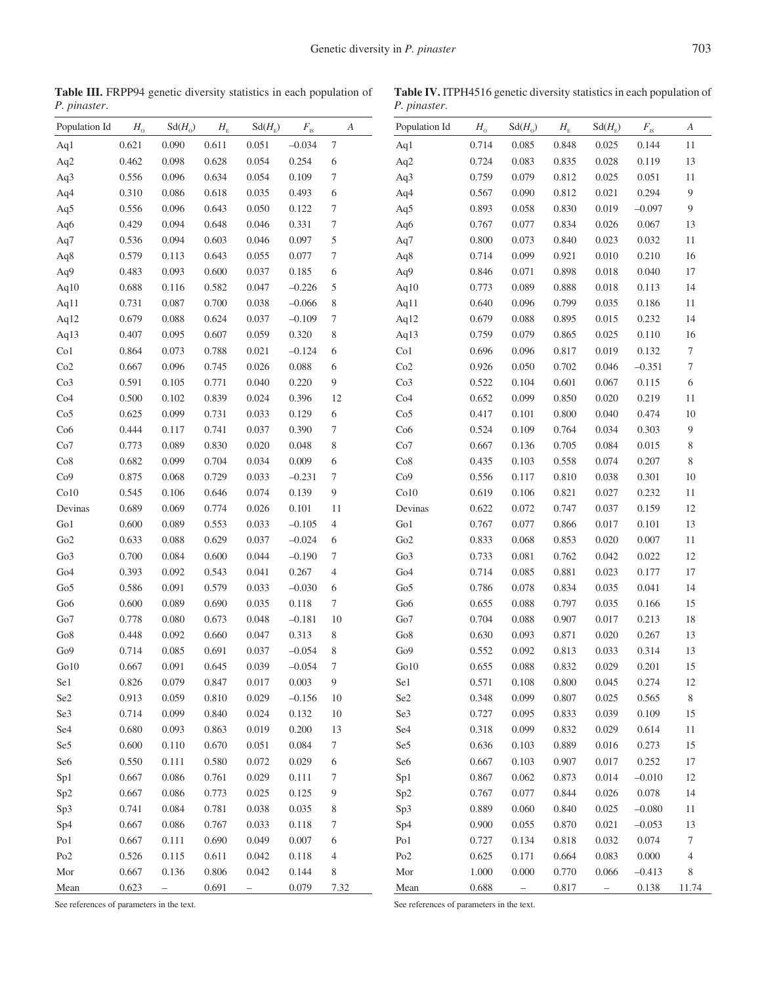**Table III.** FRPP94 genetic diversity statistics in each population of *P. pinaster*.

**Table IV.** ITPH4516 genetic diversity statistics in each population of *P. pinaster*.

| Population Id   | $H_{\rm o}$ | $Sd(H_0)$ | $H_{\scriptscriptstyle\rm E}$ | $Sd(H_F)$ | $F_{\underline{\text{\tiny{IS}}}}$ | A                | Population Id   | $H_{\rm o}$ | $Sd(H_0)$                | $H_{\scriptscriptstyle\rm E}$ | $Sd(H_F)$                | $F_{\mbox{\tiny IS}}$ | А                |
|-----------------|-------------|-----------|-------------------------------|-----------|------------------------------------|------------------|-----------------|-------------|--------------------------|-------------------------------|--------------------------|-----------------------|------------------|
| Aq1             | 0.621       | 0.090     | 0.611                         | 0.051     | $-0.034$                           | $\boldsymbol{7}$ | Aq1             | 0.714       | 0.085                    | 0.848                         | 0.025                    | 0.144                 | 11               |
| Aq2             | 0.462       | 0.098     | 0.628                         | 0.054     | 0.254                              | 6                | Aq2             | 0.724       | 0.083                    | 0.835                         | 0.028                    | 0.119                 | 13               |
| Aq3             | 0.556       | 0.096     | 0.634                         | 0.054     | 0.109                              | 7                | Aq3             | 0.759       | 0.079                    | 0.812                         | 0.025                    | 0.051                 | 11               |
| Aq4             | 0.310       | 0.086     | 0.618                         | 0.035     | 0.493                              | 6                | Aq4             | 0.567       | 0.090                    | 0.812                         | 0.021                    | 0.294                 | 9                |
| Aq5             | 0.556       | 0.096     | 0.643                         | 0.050     | 0.122                              | 7                | Aq5             | 0.893       | 0.058                    | 0.830                         | 0.019                    | $-0.097$              | 9                |
| Aq6             | 0.429       | 0.094     | 0.648                         | 0.046     | 0.331                              | $\tau$           | Aq6             | 0.767       | 0.077                    | 0.834                         | 0.026                    | 0.067                 | 13               |
| Aq7             | 0.536       | 0.094     | 0.603                         | 0.046     | 0.097                              | 5                | Aq7             | 0.800       | 0.073                    | 0.840                         | 0.023                    | 0.032                 | 11               |
| Aq8             | 0.579       | 0.113     | 0.643                         | 0.055     | 0.077                              | 7                | Aq8             | 0.714       | 0.099                    | 0.921                         | 0.010                    | 0.210                 | 16               |
| Aq9             | 0.483       | 0.093     | 0.600                         | 0.037     | 0.185                              | 6                | Aq9             | 0.846       | 0.071                    | 0.898                         | 0.018                    | 0.040                 | 17               |
| Aq10            | 0.688       | 0.116     | 0.582                         | 0.047     | $-0.226$                           | 5                | Aq10            | 0.773       | 0.089                    | 0.888                         | 0.018                    | 0.113                 | 14               |
| Aq11            | 0.731       | 0.087     | 0.700                         | 0.038     | $-0.066$                           | 8                | Aq11            | 0.640       | 0.096                    | 0.799                         | 0.035                    | 0.186                 | 11               |
| Aq12            | 0.679       | 0.088     | 0.624                         | 0.037     | $-0.109$                           | $\tau$           | Aq12            | 0.679       | 0.088                    | 0.895                         | 0.015                    | 0.232                 | 14               |
| Aq13            | 0.407       | 0.095     | 0.607                         | 0.059     | 0.320                              | 8                | Aq13            | 0.759       | 0.079                    | 0.865                         | 0.025                    | 0.110                 | 16               |
| Co <sub>1</sub> | 0.864       | 0.073     | 0.788                         | 0.021     | $-0.124$                           | 6                | Co1             | 0.696       | 0.096                    | 0.817                         | 0.019                    | 0.132                 | $\boldsymbol{7}$ |
| Co2             | 0.667       | 0.096     | 0.745                         | 0.026     | 0.088                              | 6                | Co2             | 0.926       | 0.050                    | 0.702                         | 0.046                    | $-0.351$              | $\boldsymbol{7}$ |
| Co3             | 0.591       | 0.105     | 0.771                         | 0.040     | 0.220                              | $\overline{9}$   | Co3             | 0.522       | 0.104                    | 0.601                         | 0.067                    | 0.115                 | 6                |
| Co4             | 0.500       | 0.102     | 0.839                         | 0.024     | 0.396                              | 12               | Co4             | 0.652       | 0.099                    | 0.850                         | 0.020                    | 0.219                 | 11               |
| Co <sub>5</sub> | 0.625       | 0.099     | 0.731                         | 0.033     | 0.129                              | 6                | Co <sub>5</sub> | 0.417       | 0.101                    | 0.800                         | 0.040                    | 0.474                 | 10               |
| Co6             | 0.444       | 0.117     | 0.741                         | 0.037     | 0.390                              | $\tau$           | Co6             | 0.524       | 0.109                    | 0.764                         | 0.034                    | 0.303                 | 9                |
| Co7             | 0.773       | 0.089     | 0.830                         | 0.020     | 0.048                              | 8                | Co7             | 0.667       | 0.136                    | 0.705                         | 0.084                    | 0.015                 | 8                |
| Co8             | 0.682       | 0.099     | 0.704                         | 0.034     | 0.009                              | 6                | Co8             | 0.435       | 0.103                    | 0.558                         | 0.074                    | 0.207                 | 8                |
| Co9             | 0.875       | 0.068     | 0.729                         | 0.033     | $-0.231$                           | $\tau$           | Co9             | 0.556       | 0.117                    | 0.810                         | 0.038                    | 0.301                 | 10               |
| Co10            | 0.545       | 0.106     | 0.646                         | 0.074     | 0.139                              | 9                | Co10            | 0.619       | 0.106                    | 0.821                         | 0.027                    | 0.232                 | 11               |
| Devinas         | 0.689       | 0.069     | 0.774                         | 0.026     | 0.101                              | 11               | Devinas         | 0.622       | 0.072                    | 0.747                         | 0.037                    | 0.159                 | $12\,$           |
| $\rm{Go1}$      | 0.600       | 0.089     | 0.553                         | 0.033     | $-0.105$                           | $\overline{4}$   | Go1             | 0.767       | 0.077                    | 0.866                         | 0.017                    | 0.101                 | 13               |
| Go2             | 0.633       | 0.088     | 0.629                         | 0.037     | $-0.024$                           | 6                | Go2             | 0.833       | 0.068                    | 0.853                         | 0.020                    | 0.007                 | 11               |
| Go3             | 0.700       | 0.084     | 0.600                         | 0.044     | $-0.190$                           | $\tau$           | Go3             | 0.733       | 0.081                    | 0.762                         | 0.042                    | 0.022                 | $12\,$           |
| Go <sub>4</sub> | 0.393       | 0.092     | 0.543                         | 0.041     | 0.267                              | $\overline{4}$   | Go <sub>4</sub> | 0.714       | 0.085                    | 0.881                         | 0.023                    | 0.177                 | 17               |
| Go5             | 0.586       | 0.091     | 0.579                         | 0.033     | $-0.030$                           | 6                | Go <sub>5</sub> | 0.786       | 0.078                    | 0.834                         | 0.035                    | 0.041                 | 14               |
| Go <sub>6</sub> | 0.600       | 0.089     | 0.690                         | 0.035     | 0.118                              | $\tau$           | Go <sub>6</sub> | 0.655       | 0.088                    | 0.797                         | 0.035                    | 0.166                 | 15               |
| Go7             | 0.778       | 0.080     | 0.673                         | 0.048     | $-0.181$                           | 10               | Go7             | 0.704       | 0.088                    | 0.907                         | 0.017                    | 0.213                 | 18               |
| Go8             | 0.448       | 0.092     | 0.660                         | 0.047     | 0.313                              | 8                | Go8             | 0.630       | 0.093                    | 0.871                         | 0.020                    | 0.267                 | 13               |
| Go9             | 0.714       | 0.085     | 0.691                         | 0.037     | $-0.054$                           | 8                | Go9             | 0.552       | 0.092                    | 0.813                         | 0.033                    | 0.314                 | 13               |
| Go10            | 0.667       | 0.091     | 0.645                         | 0.039     | $-0.054$                           | $\tau$           | Go10            | 0.655       | 0.088                    | 0.832                         | 0.029                    | 0.201                 | 15               |
| Se1             | 0.826       | 0.079     | 0.847                         | 0.017     | 0.003                              | $\overline{9}$   | Se1             | 0.571       | 0.108                    | 0.800                         | 0.045                    | 0.274                 | 12               |
| Se <sub>2</sub> | 0.913       | 0.059     | $0.810\,$                     | 0.029     | $-0.156$                           | 10               | Se <sub>2</sub> | 0.348       | 0.099                    | 0.807                         | 0.025                    | 0.565                 | $8\,$            |
| Se3             | 0.714       | 0.099     | 0.840                         | 0.024     | 0.132                              | 10               | Se3             | 0.727       | 0.095                    | 0.833                         | 0.039                    | 0.109                 | 15               |
| Se <sub>4</sub> | 0.680       | 0.093     | 0.863                         | 0.019     | 0.200                              | 13               | Se <sub>4</sub> | 0.318       | 0.099                    | 0.832                         | 0.029                    | 0.614                 | 11               |
| Se5             | 0.600       | 0.110     | 0.670                         | 0.051     | 0.084                              | 7                | Se5             | 0.636       | 0.103                    | 0.889                         | 0.016                    | 0.273                 | 15               |
| Se <sub>6</sub> | 0.550       | 0.111     | 0.580                         | 0.072     | 0.029                              | 6                | Se <sub>6</sub> | 0.667       | 0.103                    | 0.907                         | 0.017                    | 0.252                 | 17               |
| Sp1             | 0.667       | 0.086     | 0.761                         | 0.029     | 0.111                              | 7                | Sp1             | 0.867       | 0.062                    | 0.873                         | 0.014                    | $-0.010$              | 12               |
| Sp2             | 0.667       | 0.086     | 0.773                         | 0.025     | 0.125                              | 9                | Sp2             | 0.767       | 0.077                    | 0.844                         | 0.026                    | 0.078                 | 14               |
| Sp3             | 0.741       | 0.084     | 0.781                         | 0.038     | 0.035                              | 8                | Sp3             | 0.889       | 0.060                    | 0.840                         | 0.025                    | $-0.080$              | 11               |
| Sp4             | 0.667       | 0.086     | 0.767                         | 0.033     | 0.118                              | 7                | Sp4             | 0.900       | 0.055                    | 0.870                         | 0.021                    | $-0.053$              | 13               |
| Po1             | 0.667       | 0.111     | 0.690                         | 0.049     | 0.007                              | 6                | Po1             | 0.727       | 0.134                    | 0.818                         | 0.032                    | 0.074                 | 7                |
| Po <sub>2</sub> | 0.526       | 0.115     | 0.611                         | 0.042     | 0.118                              | 4                | Po <sub>2</sub> | 0.625       | 0.171                    | 0.664                         | 0.083                    | 0.000                 | 4                |
| Mor             | 0.667       | 0.136     | 0.806                         | 0.042     | 0.144                              | 8                | Mor             | 1.000       | 0.000                    | 0.770                         | 0.066                    | $-0.413$              | 8                |
| Mean            | 0.623       | $ \,$     | 0.691                         | $-$       | 0.079                              | 7.32             | Mean            | 0.688       | $\overline{\phantom{0}}$ | 0.817                         | $\overline{\phantom{0}}$ | 0.138                 | 11.74            |

See references of parameters in the text.

See references of parameters in the text.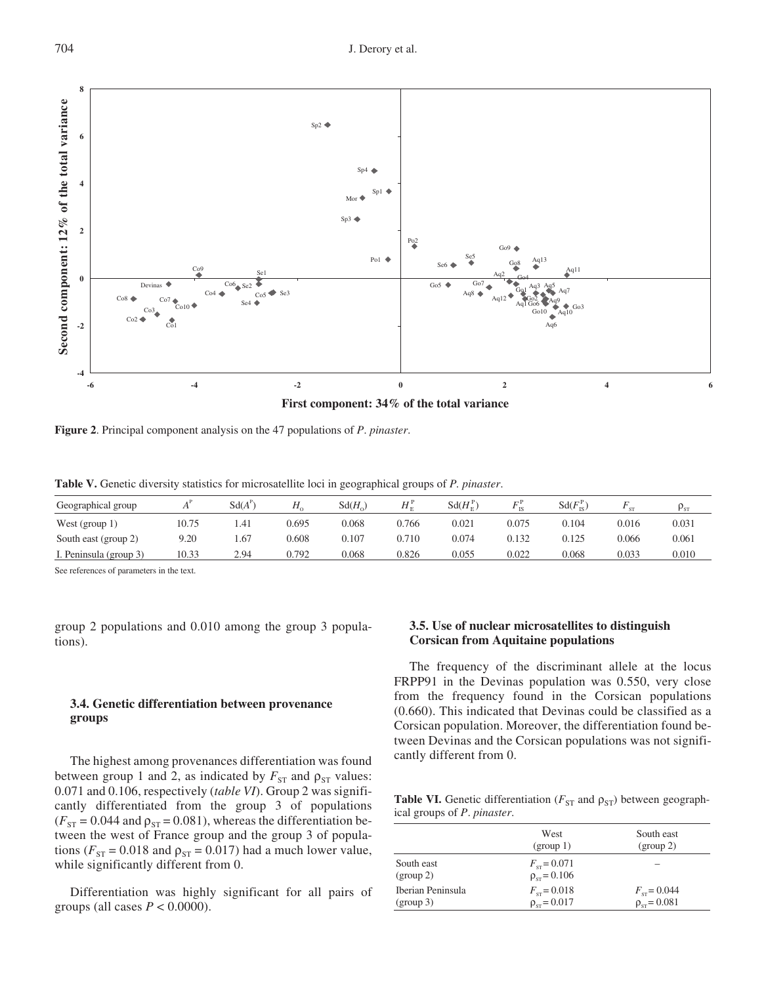

**Figure 2**. Principal component analysis on the 47 populations of *P*. *pinaster*.

**Table V.** Genetic diversity statistics for microsatellite loci in geographical groups of *P. pinaster*.

| Geographical group     |       | $Sd(A^r$ | Н,    | $Sd(H_0)$ | $H_{\nu}^{\nu}$ | $Sd(H_{\nu}^{\rm P})$ |       | $Sd(F_{\text{rs}}^{\text{P}})$ | <b>C-T</b> | $P_{ST}$ |
|------------------------|-------|----------|-------|-----------|-----------------|-----------------------|-------|--------------------------------|------------|----------|
| West (group $1$ )      | 10.75 | 1.41     | ).695 | 0.068     | 0.766           | 0.021                 | 0.075 | 0.104                          | 0.016      | 0.031    |
| South east (group 2)   | 9.20  | . 67     | 0.608 | 0.107     | 0.710           | 0.074                 | 0.132 | 0.125                          | 0.066      | 0.061    |
| I. Peninsula (group 3) | 10.33 | 2.94     | 0.792 | 0.068     | 0.826           | 0.055                 | 0.022 | 0.068                          | 0.033      | 0.010    |

See references of parameters in the text.

group 2 populations and 0.010 among the group 3 populations).

## **3.4. Genetic differentiation between provenance groups**

The highest among provenances differentiation was found between group 1 and 2, as indicated by  $F_{ST}$  and  $\rho_{ST}$  values: 0.071 and 0.106, respectively (*table VI*). Group 2 was significantly differentiated from the group 3 of populations  $(F_{ST} = 0.044$  and  $p_{ST} = 0.081$ ), whereas the differentiation between the west of France group and the group 3 of populations ( $F_{ST}$  = 0.018 and  $\rho_{ST}$  = 0.017) had a much lower value, while significantly different from 0.

Differentiation was highly significant for all pairs of groups (all cases  $P < 0.0000$ ).

# **3.5. Use of nuclear microsatellites to distinguish Corsican from Aquitaine populations**

The frequency of the discriminant allele at the locus FRPP91 in the Devinas population was 0.550, very close from the frequency found in the Corsican populations (0.660). This indicated that Devinas could be classified as a Corsican population. Moreover, the differentiation found between Devinas and the Corsican populations was not significantly different from 0.

**Table VI.** Genetic differentiation ( $F_{ST}$  and  $\rho_{ST}$ ) between geographical groups of *P*. *pinaster*.

|                                | West<br>(group 1)                               | South east<br>(group 2)                 |
|--------------------------------|-------------------------------------------------|-----------------------------------------|
| South east<br>(group 2)        | $F_{\rm cr}$ = 0.071<br>$\rho_{\rm sr}$ = 0.106 |                                         |
| Iberian Peninsula<br>(group 3) | $F_{cr} = 0.018$<br>$\rho_{cr} = 0.017$         | $F_{cr} = 0.044$<br>$\rho_{cr} = 0.081$ |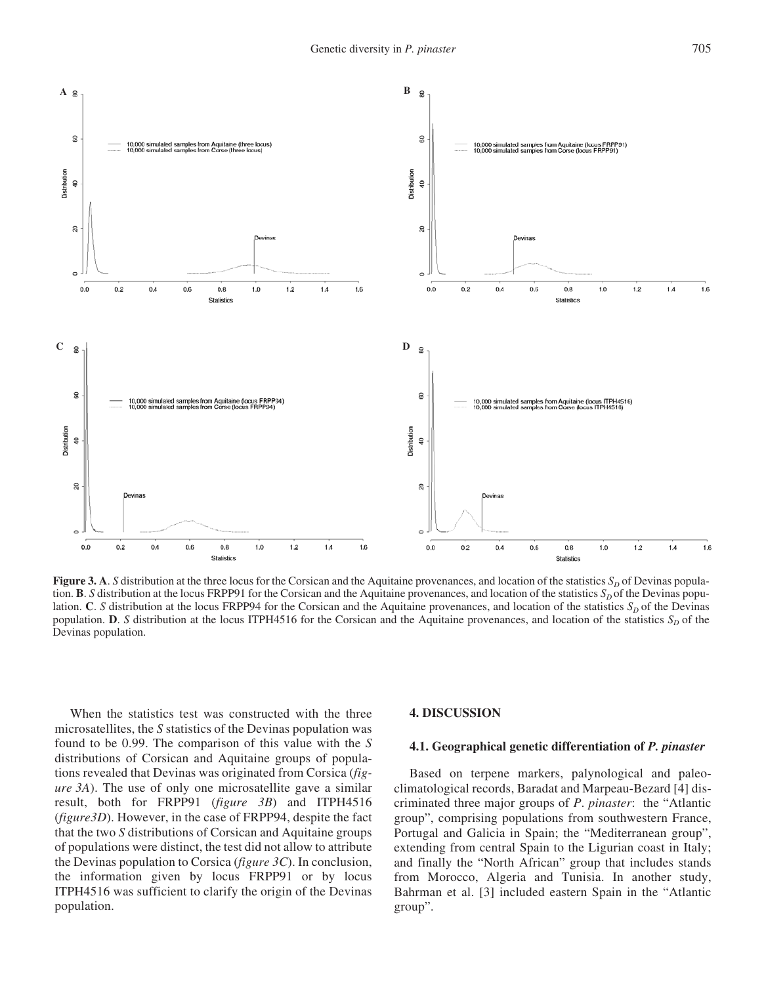

**Figure 3. A**. *S* distribution at the three locus for the Corsican and the Aquitaine provenances, and location of the statistics  $S_D$  of Devinas population. **B**. *S* distribution at the locus FRPP91 for the Corsican and the Aquitaine provenances, and location of the statistics  $S_D$  of the Devinas population. **C**. *S* distribution at the locus FRPP94 for the Corsican and the Aquitaine provenances, and location of the statistics  $S<sub>D</sub>$  of the Devinas population. **D**. *S* distribution at the locus ITPH4516 for the Corsican and the Aquitaine provenances, and location of the statistics  $S_D$  of the Devinas population.

When the statistics test was constructed with the three microsatellites, the *S* statistics of the Devinas population was found to be 0.99. The comparison of this value with the *S* distributions of Corsican and Aquitaine groups of populations revealed that Devinas was originated from Corsica (*figure 3A*). The use of only one microsatellite gave a similar result, both for FRPP91 (*figure 3B*) and ITPH4516 (*figure3D*). However, in the case of FRPP94, despite the fact that the two *S* distributions of Corsican and Aquitaine groups of populations were distinct, the test did not allow to attribute the Devinas population to Corsica (*figure 3C*). In conclusion, the information given by locus FRPP91 or by locus ITPH4516 was sufficient to clarify the origin of the Devinas population.

#### **4. DISCUSSION**

#### **4.1. Geographical genetic differentiation of** *P. pinaster*

Based on terpene markers, palynological and paleoclimatological records, Baradat and Marpeau-Bezard [4] discriminated three major groups of *P*. *pinaster*: the "Atlantic group", comprising populations from southwestern France, Portugal and Galicia in Spain; the "Mediterranean group", extending from central Spain to the Ligurian coast in Italy; and finally the "North African" group that includes stands from Morocco, Algeria and Tunisia. In another study, Bahrman et al. [3] included eastern Spain in the "Atlantic group".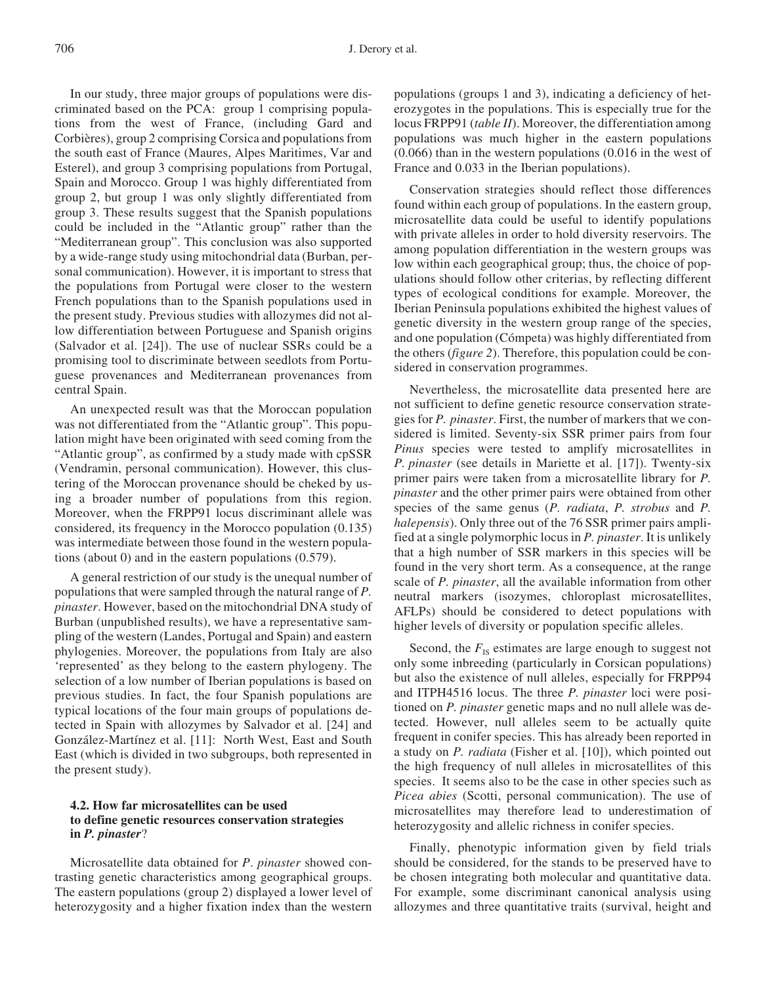In our study, three major groups of populations were discriminated based on the PCA: group 1 comprising populations from the west of France, (including Gard and Corbières), group 2 comprising Corsica and populations from the south east of France (Maures, Alpes Maritimes, Var and Esterel), and group 3 comprising populations from Portugal, Spain and Morocco. Group 1 was highly differentiated from group 2, but group 1 was only slightly differentiated from group 3. These results suggest that the Spanish populations could be included in the "Atlantic group" rather than the "Mediterranean group". This conclusion was also supported by a wide-range study using mitochondrial data (Burban, personal communication). However, it is important to stress that the populations from Portugal were closer to the western French populations than to the Spanish populations used in the present study. Previous studies with allozymes did not allow differentiation between Portuguese and Spanish origins (Salvador et al. [24]). The use of nuclear SSRs could be a promising tool to discriminate between seedlots from Portuguese provenances and Mediterranean provenances from central Spain.

An unexpected result was that the Moroccan population was not differentiated from the "Atlantic group". This population might have been originated with seed coming from the "Atlantic group", as confirmed by a study made with cpSSR (Vendramin, personal communication). However, this clustering of the Moroccan provenance should be cheked by using a broader number of populations from this region. Moreover, when the FRPP91 locus discriminant allele was considered, its frequency in the Morocco population (0.135) was intermediate between those found in the western populations (about 0) and in the eastern populations (0.579).

A general restriction of our study is the unequal number of populations that were sampled through the natural range of *P. pinaster*. However, based on the mitochondrial DNA study of Burban (unpublished results), we have a representative sampling of the western (Landes, Portugal and Spain) and eastern phylogenies. Moreover, the populations from Italy are also 'represented' as they belong to the eastern phylogeny. The selection of a low number of Iberian populations is based on previous studies. In fact, the four Spanish populations are typical locations of the four main groups of populations detected in Spain with allozymes by Salvador et al. [24] and González-Martínez et al. [11]: North West, East and South East (which is divided in two subgroups, both represented in the present study).

# **4.2. How far microsatellites can be used to define genetic resources conservation strategies in** *P. pinaster*?

Microsatellite data obtained for *P*. *pinaster* showed contrasting genetic characteristics among geographical groups. The eastern populations (group 2) displayed a lower level of heterozygosity and a higher fixation index than the western populations (groups 1 and 3), indicating a deficiency of heterozygotes in the populations. This is especially true for the locus FRPP91 (*table II*). Moreover, the differentiation among populations was much higher in the eastern populations (0.066) than in the western populations (0.016 in the west of France and 0.033 in the Iberian populations).

Conservation strategies should reflect those differences found within each group of populations. In the eastern group, microsatellite data could be useful to identify populations with private alleles in order to hold diversity reservoirs. The among population differentiation in the western groups was low within each geographical group; thus, the choice of populations should follow other criterias, by reflecting different types of ecological conditions for example. Moreover, the Iberian Peninsula populations exhibited the highest values of genetic diversity in the western group range of the species, and one population (Cómpeta) was highly differentiated from the others (*figure 2*). Therefore, this population could be considered in conservation programmes.

Nevertheless, the microsatellite data presented here are not sufficient to define genetic resource conservation strategies for *P. pinaster*. First, the number of markers that we considered is limited. Seventy-six SSR primer pairs from four *Pinus* species were tested to amplify microsatellites in *P. pinaster* (see details in Mariette et al. [17]). Twenty-six primer pairs were taken from a microsatellite library for *P. pinaster* and the other primer pairs were obtained from other species of the same genus (*P. radiata*, *P. strobus* and *P. halepensis*). Only three out of the 76 SSR primer pairs amplified at a single polymorphic locus in *P. pinaster*. It is unlikely that a high number of SSR markers in this species will be found in the very short term. As a consequence, at the range scale of *P. pinaster*, all the available information from other neutral markers (isozymes, chloroplast microsatellites, AFLPs) should be considered to detect populations with higher levels of diversity or population specific alleles.

Second, the  $F_{\text{IS}}$  estimates are large enough to suggest not only some inbreeding (particularly in Corsican populations) but also the existence of null alleles, especially for FRPP94 and ITPH4516 locus. The three *P. pinaster* loci were positioned on *P. pinaster* genetic maps and no null allele was detected. However, null alleles seem to be actually quite frequent in conifer species. This has already been reported in a study on *P. radiata* (Fisher et al. [10]), which pointed out the high frequency of null alleles in microsatellites of this species. It seems also to be the case in other species such as *Picea abies* (Scotti, personal communication). The use of microsatellites may therefore lead to underestimation of heterozygosity and allelic richness in conifer species.

Finally, phenotypic information given by field trials should be considered, for the stands to be preserved have to be chosen integrating both molecular and quantitative data. For example, some discriminant canonical analysis using allozymes and three quantitative traits (survival, height and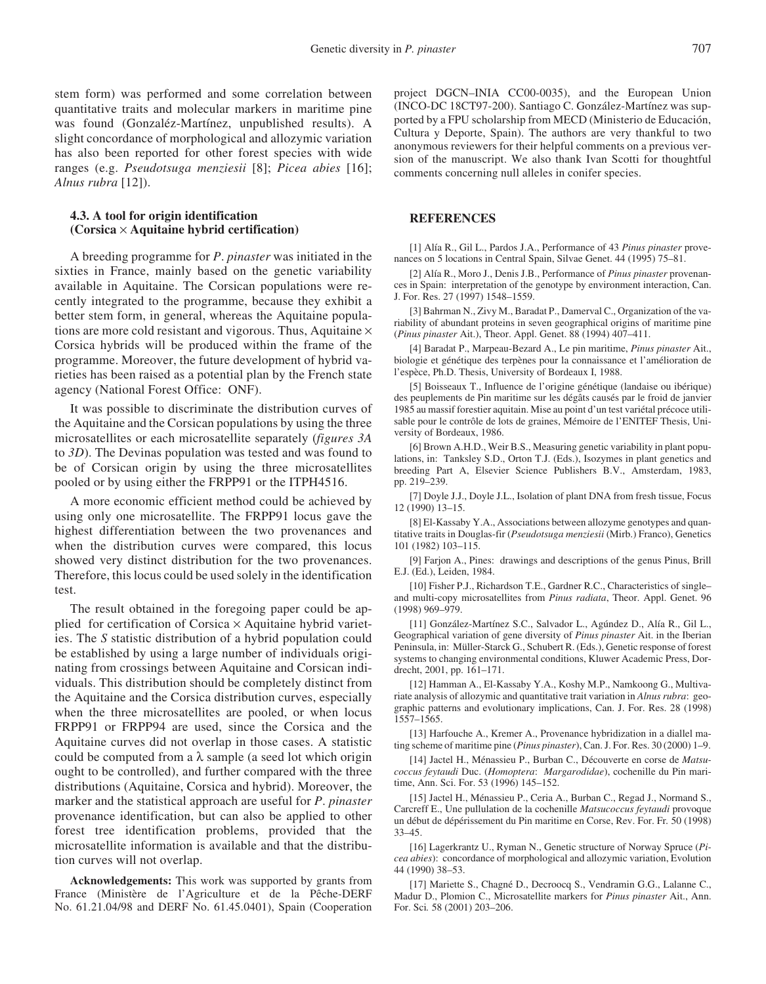stem form) was performed and some correlation between quantitative traits and molecular markers in maritime pine was found (Gonzaléz-Martínez, unpublished results). A slight concordance of morphological and allozymic variation has also been reported for other forest species with wide ranges (e.g. *Pseudotsuga menziesii* [8]; *Picea abies* [16]; *Alnus rubra* [12]).

#### **4.3. A tool for origin identification (Corsica** × **Aquitaine hybrid certification)**

A breeding programme for *P*. *pinaster* was initiated in the sixties in France, mainly based on the genetic variability available in Aquitaine. The Corsican populations were recently integrated to the programme, because they exhibit a better stem form, in general, whereas the Aquitaine populations are more cold resistant and vigorous. Thus, Aquitaine  $\times$ Corsica hybrids will be produced within the frame of the programme. Moreover, the future development of hybrid varieties has been raised as a potential plan by the French state agency (National Forest Office: ONF).

It was possible to discriminate the distribution curves of the Aquitaine and the Corsican populations by using the three microsatellites or each microsatellite separately (*figures 3A* to *3D*). The Devinas population was tested and was found to be of Corsican origin by using the three microsatellites pooled or by using either the FRPP91 or the ITPH4516.

A more economic efficient method could be achieved by using only one microsatellite. The FRPP91 locus gave the highest differentiation between the two provenances and when the distribution curves were compared, this locus showed very distinct distribution for the two provenances. Therefore, this locus could be used solely in the identification test.

The result obtained in the foregoing paper could be applied for certification of Corsica  $\times$  Aquitaine hybrid varieties. The *S* statistic distribution of a hybrid population could be established by using a large number of individuals originating from crossings between Aquitaine and Corsican individuals. This distribution should be completely distinct from the Aquitaine and the Corsica distribution curves, especially when the three microsatellites are pooled, or when locus FRPP91 or FRPP94 are used, since the Corsica and the Aquitaine curves did not overlap in those cases. A statistic could be computed from a  $\lambda$  sample (a seed lot which origin ought to be controlled), and further compared with the three distributions (Aquitaine, Corsica and hybrid). Moreover, the marker and the statistical approach are useful for *P*. *pinaster* provenance identification, but can also be applied to other forest tree identification problems, provided that the microsatellite information is available and that the distribution curves will not overlap.

**Acknowledgements:** This work was supported by grants from France (Ministère de l'Agriculture et de la Pêche-DERF No. 61.21.04/98 and DERF No. 61.45.0401), Spain (Cooperation project DGCN–INIA CC00-0035), and the European Union (INCO-DC 18CT97-200). Santiago C. González-Martínez was supported by a FPU scholarship from MECD (Ministerio de Educación, Cultura y Deporte, Spain). The authors are very thankful to two anonymous reviewers for their helpful comments on a previous version of the manuscript. We also thank Ivan Scotti for thoughtful comments concerning null alleles in conifer species.

#### **REFERENCES**

[1] Alía R., Gil L., Pardos J.A., Performance of 43 *Pinus pinaster* provenances on 5 locations in Central Spain, Silvae Genet. 44 (1995) 75–81.

[2] Alía R., Moro J., Denis J.B., Performance of *Pinus pinaster* provenances in Spain: interpretation of the genotype by environment interaction, Can. J. For. Res. 27 (1997) 1548–1559.

[3] Bahrman N., Zivy M., Baradat P., Damerval C., Organization of the variability of abundant proteins in seven geographical origins of maritime pine (*Pinus pinaster* Ait.), Theor. Appl. Genet. 88 (1994) 407–411.

[4] Baradat P., Marpeau-Bezard A., Le pin maritime, *Pinus pinaster* Ait., biologie et génétique des terpènes pour la connaissance et l'amélioration de l'espèce, Ph.D. Thesis, University of Bordeaux I, 1988.

[5] Boisseaux T., Influence de l'origine génétique (landaise ou ibérique) des peuplements de Pin maritime sur les dégâts causés par le froid de janvier 1985 au massif forestier aquitain. Mise au point d'un test variétal précoce utilisable pour le contrôle de lots de graines, Mémoire de l'ENITEF Thesis, University of Bordeaux, 1986.

[6] Brown A.H.D., Weir B.S., Measuring genetic variability in plant populations, in: Tanksley S.D., Orton T.J. (Eds.), Isozymes in plant genetics and breeding Part A, Elsevier Science Publishers B.V., Amsterdam, 1983, pp. 219–239.

[7] Doyle J.J., Doyle J.L., Isolation of plant DNA from fresh tissue, Focus 12 (1990) 13–15.

[8] El-Kassaby Y.A., Associations between allozyme genotypes and quantitative traits in Douglas-fir (*Pseudotsuga menziesii* (Mirb.) Franco), Genetics 101 (1982) 103–115.

[9] Farjon A., Pines: drawings and descriptions of the genus Pinus, Brill E.J. (Ed.), Leiden, 1984.

[10] Fisher P.J., Richardson T.E., Gardner R.C., Characteristics of single– and multi-copy microsatellites from *Pinus radiata*, Theor. Appl. Genet. 96 (1998) 969–979.

[11] González-Martínez S.C., Salvador L., Agúndez D., Alía R., Gil L., Geographical variation of gene diversity of *Pinus pinaster* Ait. in the Iberian Peninsula, in: Müller-Starck G., Schubert R. (Eds.), Genetic response of forest systems to changing environmental conditions, Kluwer Academic Press, Dordrecht, 2001, pp. 161–171.

[12] Hamman A., El-Kassaby Y.A., Koshy M.P., Namkoong G., Multivariate analysis of allozymic and quantitative trait variation in *Alnus rubra*: geographic patterns and evolutionary implications, Can. J. For. Res. 28 (1998) 1557–1565.

[13] Harfouche A., Kremer A., Provenance hybridization in a diallel mating scheme of maritime pine (*Pinus pinaster*), Can. J. For. Res. 30 (2000) 1–9.

[14] Jactel H., Ménassieu P., Burban C., Découverte en corse de *Matsucoccus feytaudi* Duc. (*Homoptera*: *Margarodidae*), cochenille du Pin maritime, Ann. Sci. For. 53 (1996) 145–152.

[15] Jactel H., Ménassieu P., Ceria A., Burban C., Regad J., Normand S., Carcreff E., Une pullulation de la cochenille *Matsucoccus feytaudi* provoque un début de dépérissement du Pin maritime en Corse, Rev. For. Fr*.* 50 (1998) 33–45.

[16] Lagerkrantz U., Ryman N., Genetic structure of Norway Spruce (*Picea abies*): concordance of morphological and allozymic variation, Evolution 44 (1990) 38–53.

[17] Mariette S., Chagné D., Decroocq S., Vendramin G.G., Lalanne C., Madur D., Plomion C., Microsatellite markers for *Pinus pinaster* Ait., Ann. For. Sci*.* 58 (2001) 203–206.